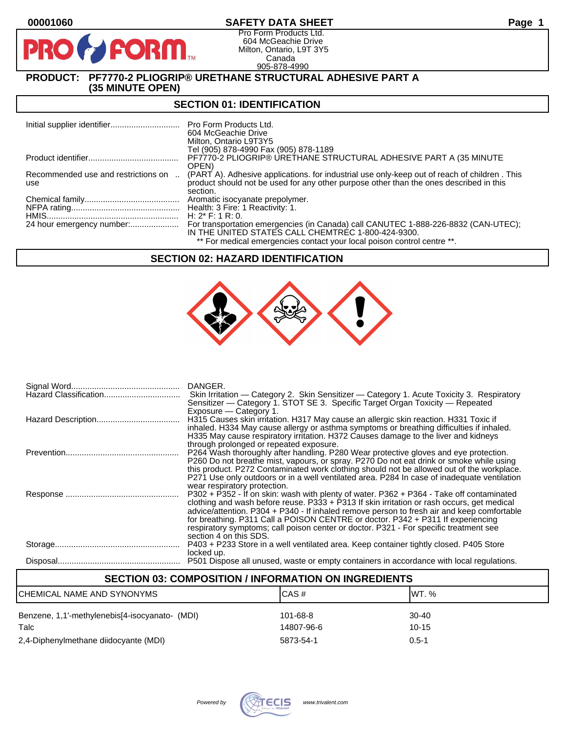# **00001060 SAFETY DATA SHEET Page 1**

Pro Form Products Ltd. 604 McGeachie Drive Milton, Ontario, L9T 3Y5 Canada 905-878-4990

# **PRODUCT: PF7770-2 PLIOGRIP® URETHANE STRUCTURAL ADHESIVE PART A (35 MINUTE OPEN)**

**PORM** 

#### **SECTION 01: IDENTIFICATION**

|                                            | Pro Form Products Ltd.<br>604 McGeachie Drive<br>Milton, Ontario L9T3Y5                                                                                                                            |
|--------------------------------------------|----------------------------------------------------------------------------------------------------------------------------------------------------------------------------------------------------|
|                                            | Tel (905) 878-4990 Fax (905) 878-1189                                                                                                                                                              |
|                                            | PF7770-2 PLIOGRIP® URETHANE STRUCTURAL ADHESIVE PART A (35 MINUTE                                                                                                                                  |
|                                            | OPEN)                                                                                                                                                                                              |
| Recommended use and restrictions on<br>use | (PART A). Adhesive applications, for industrial use only-keep out of reach of children, This<br>product should not be used for any other purpose other than the ones described in this<br>section. |
|                                            | Aromatic isocyanate prepolymer.                                                                                                                                                                    |
|                                            | Health: 3 Fire: 1 Reactivity: 1.                                                                                                                                                                   |
|                                            | H: $2^*$ F: 1 R: 0.                                                                                                                                                                                |
|                                            | For transportation emergencies (in Canada) call CANUTEC 1-888-226-8832 (CAN-UTEC);<br>IN THE UNITED STATES CALL CHEMTREC 1-800-424-9300.                                                           |
|                                            | ** For medical emergencies contact your local poison control centre **.                                                                                                                            |

### **SECTION 02: HAZARD IDENTIFICATION**



|                       | DANGER.                                                                                                                                                                              |
|-----------------------|--------------------------------------------------------------------------------------------------------------------------------------------------------------------------------------|
| Hazard Classification | Skin Irritation — Category 2. Skin Sensitizer — Category 1. Acute Toxicity 3. Respiratory                                                                                            |
|                       | Sensitizer — Category 1. STOT SE 3. Specific Target Organ Toxicity — Repeated                                                                                                        |
|                       | Exposure – Category 1.                                                                                                                                                               |
|                       | H315 Causes skin irritation. H317 May cause an allergic skin reaction. H331 Toxic if                                                                                                 |
|                       | inhaled. H334 May cause allergy or asthma symptoms or breathing difficulties if inhaled.                                                                                             |
|                       | H335 May cause respiratory irritation. H372 Causes damage to the liver and kidneys                                                                                                   |
|                       | through prolonged or repeated exposure.                                                                                                                                              |
|                       | P264 Wash thoroughly after handling. P280 Wear protective gloves and eye protection.                                                                                                 |
|                       | P260 Do not breathe mist, vapours, or spray. P270 Do not eat drink or smoke while using<br>this product. P272 Contaminated work clothing should not be allowed out of the workplace. |
|                       | P271 Use only outdoors or in a well ventilated area. P284 In case of inadequate ventilation                                                                                          |
|                       | wear respiratory protection.                                                                                                                                                         |
|                       | P302 + P352 - If on skin: wash with plenty of water. P362 + P364 - Take off contaminated                                                                                             |
|                       | clothing and wash before reuse. $P333 + P313$ If skin irritation or rash occurs, get medical                                                                                         |
|                       | advice/attention. P304 + P340 - If inhaled remove person to fresh air and keep comfortable                                                                                           |
|                       | for breathing. P311 Call a POISON CENTRE or doctor. P342 + P311 If experiencing                                                                                                      |
|                       | respiratory symptoms; call poison center or doctor. P321 - For specific treatment see                                                                                                |
|                       | section 4 on this SDS.                                                                                                                                                               |
|                       | P403 + P233 Store in a well ventilated area. Keep container tightly closed. P405 Store                                                                                               |
|                       | locked up.                                                                                                                                                                           |
|                       | P501 Dispose all unused, waste or empty containers in accordance with local regulations.                                                                                             |
|                       |                                                                                                                                                                                      |

# **SECTION 03: COMPOSITION / INFORMATION ON INGREDIENTS** CHEMICAL NAME AND SYNONYMS CAS # CAS # WT. % Benzene, 1,1'-methylenebis[4-isocyanato- (MDI) 101-68-8 30-40 Talc 14807-96-6 10-15 2,4-Diphenylmethane diidocyante (MDI) 5873-54-1 0.5-1

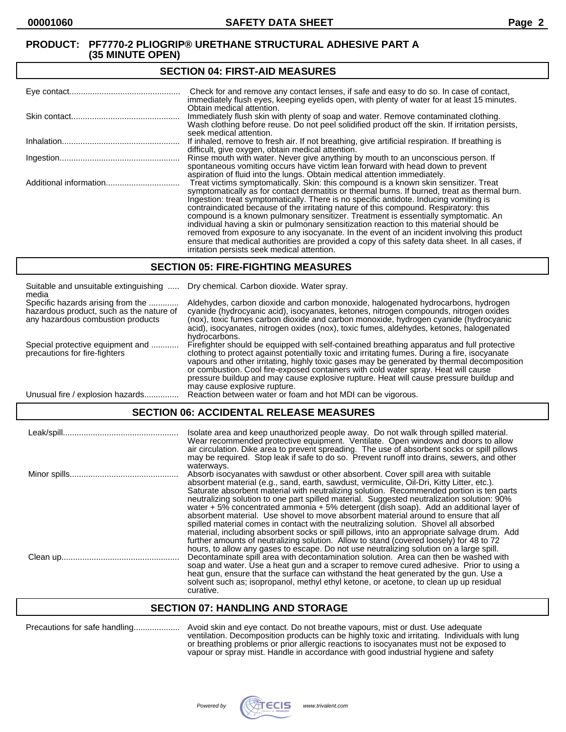#### **SECTION 04: FIRST-AID MEASURES**

| Check for and remove any contact lenses, if safe and easy to do so. In case of contact,<br>immediately flush eyes, keeping eyelids open, with plenty of water for at least 15 minutes.                                                                                                                                                                                                                                                                                                                                                                                                                                                                                                                                                                                                                   |
|----------------------------------------------------------------------------------------------------------------------------------------------------------------------------------------------------------------------------------------------------------------------------------------------------------------------------------------------------------------------------------------------------------------------------------------------------------------------------------------------------------------------------------------------------------------------------------------------------------------------------------------------------------------------------------------------------------------------------------------------------------------------------------------------------------|
| Obtain medical attention.<br>Immediately flush skin with plenty of soap and water. Remove contaminated clothing.<br>Wash clothing before reuse. Do not peel solidified product off the skin. If irritation persists,<br>seek medical attention.                                                                                                                                                                                                                                                                                                                                                                                                                                                                                                                                                          |
| If inhaled, remove to fresh air. If not breathing, give artificial respiration. If breathing is<br>difficult, give oxygen, obtain medical attention.                                                                                                                                                                                                                                                                                                                                                                                                                                                                                                                                                                                                                                                     |
| Rinse mouth with water. Never give anything by mouth to an unconscious person. If<br>spontaneous vomiting occurs have victim lean forward with head down to prevent<br>aspiration of fluid into the lungs. Obtain medical attention immediately.                                                                                                                                                                                                                                                                                                                                                                                                                                                                                                                                                         |
| Treat victims symptomatically. Skin: this compound is a known skin sensitizer. Treat<br>symptomatically as for contact dermatitis or thermal burns. If burned, treat as thermal burn.<br>Ingestion: treat symptomatically. There is no specific antidote. Inducing vomiting is<br>contraindicated because of the irritating nature of this compound. Respiratory: this<br>compound is a known pulmonary sensitizer. Treatment is essentially symptomatic. An<br>individual having a skin or pulmonary sensitization reaction to this material should be<br>removed from exposure to any isocyanate. In the event of an incident involving this product<br>ensure that medical authorities are provided a copy of this safety data sheet. In all cases, if<br>irritation persists seek medical attention. |

#### **SECTION 05: FIRE-FIGHTING MEASURES**

| Suitable and unsuitable extinguishing<br>media                                                                     | Dry chemical. Carbon dioxide. Water spray.                                                                                                                                                                                                                                                                                                                                                                                                                                                                |
|--------------------------------------------------------------------------------------------------------------------|-----------------------------------------------------------------------------------------------------------------------------------------------------------------------------------------------------------------------------------------------------------------------------------------------------------------------------------------------------------------------------------------------------------------------------------------------------------------------------------------------------------|
| Specific hazards arising from the<br>hazardous product, such as the nature of<br>any hazardous combustion products | Aldehydes, carbon dioxide and carbon monoxide, halogenated hydrocarbons, hydrogen<br>cyanide (hydrocyanic acid), isocyanates, ketones, nitrogen compounds, nitrogen oxides<br>(nox), toxic fumes carbon dioxide and carbon monoxide, hydrogen cyanide (hydrocyanic<br>acid), isocyanates, nitrogen oxides (nox), toxic fumes, aldehydes, ketones, halogenated<br>hydrocarbons.                                                                                                                            |
| Special protective equipment and<br>precautions for fire-fighters                                                  | Firefighter should be equipped with self-contained breathing apparatus and full protective<br>clothing to protect against potentially toxic and irritating fumes. During a fire, isocyanate<br>vapours and other irritating, highly toxic gases may be generated by thermal decomposition<br>or combustion. Cool fire-exposed containers with cold water spray. Heat will cause<br>pressure buildup and may cause explosive rupture. Heat will cause pressure buildup and<br>may cause explosive rupture. |
| Unusual fire / explosion hazards.                                                                                  | Reaction between water or foam and hot MDI can be vigorous.                                                                                                                                                                                                                                                                                                                                                                                                                                               |

# **SECTION 06: ACCIDENTAL RELEASE MEASURES**

| Isolate area and keep unauthorized people away. Do not walk through spilled material.<br>Wear recommended protective equipment. Ventilate. Open windows and doors to allow<br>air circulation. Dike area to prevent spreading. The use of absorbent socks or spill pillows<br>may be required. Stop leak if safe to do so. Prevent runoff into drains, sewers, and other                                                                                                                                                                                                                                                                                                                                                                                                                                                                                                                                                                                    |
|-------------------------------------------------------------------------------------------------------------------------------------------------------------------------------------------------------------------------------------------------------------------------------------------------------------------------------------------------------------------------------------------------------------------------------------------------------------------------------------------------------------------------------------------------------------------------------------------------------------------------------------------------------------------------------------------------------------------------------------------------------------------------------------------------------------------------------------------------------------------------------------------------------------------------------------------------------------|
| waterways.<br>Absorb isocyanates with sawdust or other absorbent. Cover spill area with suitable<br>absorbent material (e.g., sand, earth, sawdust, vermiculite, Oil-Dri, Kitty Litter, etc.).<br>Saturate absorbent material with neutralizing solution. Recommended portion is ten parts<br>neutralizing solution to one part spilled material. Suggested neutralization solution: 90%<br>water $+5\%$ concentrated ammonia $+5\%$ detergent (dish soap). Add an additional layer of<br>absorbent material. Use shovel to move absorbent material around to ensure that all<br>spilled material comes in contact with the neutralizing solution. Shovel all absorbed<br>material, including absorbent socks or spill pillows, into an appropriate salvage drum. Add<br>further amounts of neutralizing solution. Allow to stand (covered loosely) for 48 to 72<br>hours, to allow any gases to escape. Do not use neutralizing solution on a large spill. |
| Decontaminate spill area with decontamination solution. Area can then be washed with<br>soap and water. Use a heat gun and a scraper to remove cured adhesive. Prior to using a<br>heat gun, ensure that the surface can withstand the heat generated by the gun. Use a<br>solvent such as; isopropanol, methyl ethyl ketone, or acetone, to clean up up residual<br>curative.                                                                                                                                                                                                                                                                                                                                                                                                                                                                                                                                                                              |

#### **SECTION 07: HANDLING AND STORAGE**

| Precautions for safe handling | Avo |
|-------------------------------|-----|
|-------------------------------|-----|

Precautions for safe handling.................... Avoid skin and eye contact. Do not breathe vapours, mist or dust. Use adequate ventilation. Decomposition products can be highly toxic and irritating. Individuals with lung or breathing problems or prior allergic reactions to isocyanates must not be exposed to vapour or spray mist. Handle in accordance with good industrial hygiene and safety

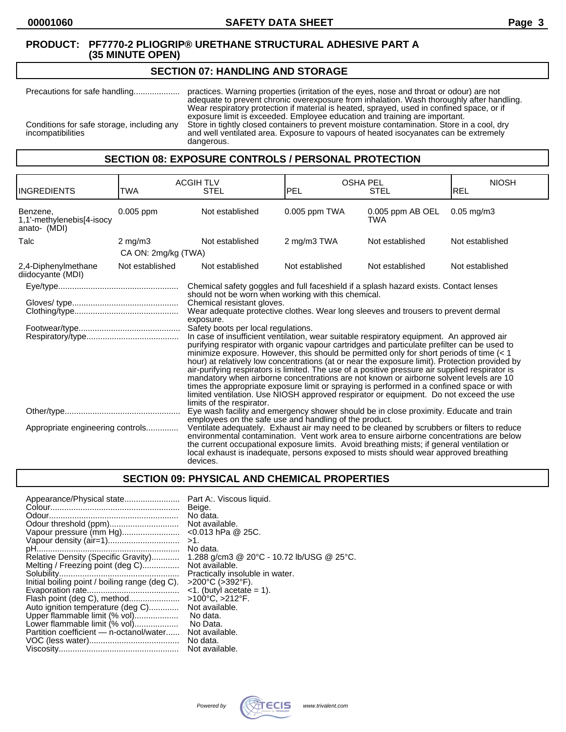# **SECTION 07: HANDLING AND STORAGE**

Precautions for safe handling.................... practices. Warning properties (irritation of the eyes, nose and throat or odour) are not adequate to prevent chronic overexposure from inhalation. Wash thoroughly after handling. Wear respiratory protection if material is heated, sprayed, used in confined space, or if exposure limit is exceeded. Employee education and training are important. Conditions for safe storage, including any Store in tightly closed containers to prevent moisture contamination. Store in a cool, dry incompatibilities and well ventilated area. Exposure to vapours of heated isocyanates can be extremely dangerous.

# **SECTION 08: EXPOSURE CONTROLS / PERSONAL PROTECTION**

| <b>INGREDIENTS</b>                                    | TWA                 | <b>ACGIH TLV</b><br><b>STEL</b>                                                                                                                                                                                                                                                                                                                                                                                                                                                                                                                                                                                                                                                                                                                                                                                         | <b>OSHA PEL</b><br><b>PEL</b>                                                                                                             | <b>STEL</b>             | <b>NIOSH</b><br>REL      |  |
|-------------------------------------------------------|---------------------|-------------------------------------------------------------------------------------------------------------------------------------------------------------------------------------------------------------------------------------------------------------------------------------------------------------------------------------------------------------------------------------------------------------------------------------------------------------------------------------------------------------------------------------------------------------------------------------------------------------------------------------------------------------------------------------------------------------------------------------------------------------------------------------------------------------------------|-------------------------------------------------------------------------------------------------------------------------------------------|-------------------------|--------------------------|--|
| Benzene.<br>1,1'-methylenebis[4-isocy<br>anato- (MDI) | $0.005$ ppm         | Not established                                                                                                                                                                                                                                                                                                                                                                                                                                                                                                                                                                                                                                                                                                                                                                                                         | $0.005$ ppm TWA                                                                                                                           | 0.005 ppm AB OEL<br>TWA | $0.05 \,\mathrm{mq/m}$ 3 |  |
| Talc                                                  | $2 \text{ mg/m}$    | Not established                                                                                                                                                                                                                                                                                                                                                                                                                                                                                                                                                                                                                                                                                                                                                                                                         | 2 mg/m3 TWA                                                                                                                               | Not established         | Not established          |  |
|                                                       | CA ON: 2mg/kg (TWA) |                                                                                                                                                                                                                                                                                                                                                                                                                                                                                                                                                                                                                                                                                                                                                                                                                         |                                                                                                                                           |                         |                          |  |
| 2,4-Diphenylmethane<br>diidocyante (MDI)              | Not established     | Not established                                                                                                                                                                                                                                                                                                                                                                                                                                                                                                                                                                                                                                                                                                                                                                                                         | Not established                                                                                                                           | Not established         | Not established          |  |
|                                                       |                     | Chemical safety goggles and full faceshield if a splash hazard exists. Contact lenses                                                                                                                                                                                                                                                                                                                                                                                                                                                                                                                                                                                                                                                                                                                                   |                                                                                                                                           |                         |                          |  |
|                                                       |                     | Chemical resistant gloves.<br>exposure.                                                                                                                                                                                                                                                                                                                                                                                                                                                                                                                                                                                                                                                                                                                                                                                 | should not be worn when working with this chemical.<br>Wear adequate protective clothes. Wear long sleeves and trousers to prevent dermal |                         |                          |  |
|                                                       |                     | Safety boots per local regulations.<br>In case of insufficient ventilation, wear suitable respiratory equipment. An approved air<br>purifying respirator with organic vapour cartridges and particulate prefilter can be used to<br>minimize exposure. However, this should be permitted only for short periods of time $(1hour) at relatively low concentrations (at or near the exposure limit). Protection provided byair-purifying respirators is limited. The use of a positive pressure air supplied respirator ismandatory when airborne concentrations are not known or airborne solvent levels are 10times the appropriate exposure limit or spraying is performed in a confined space or withlimited ventilation. Use NIOSH approved respirator or equipment. Do not exceed the uselimits of the respirator.$ |                                                                                                                                           |                         |                          |  |
| Appropriate engineering controls                      |                     | Eye wash facility and emergency shower should be in close proximity. Educate and train<br>employees on the safe use and handling of the product.<br>Ventilate adequately. Exhaust air may need to be cleaned by scrubbers or filters to reduce<br>environmental contamination. Vent work area to ensure airborne concentrations are below<br>the current occupational exposure limits. Avoid breathing mists; if general ventilation or<br>local exhaust is inadequate, persons exposed to mists should wear approved breathing<br>devices.                                                                                                                                                                                                                                                                             |                                                                                                                                           |                         |                          |  |

# **SECTION 09: PHYSICAL AND CHEMICAL PROPERTIES**

| Appearance/Physical state                      | Part A:. Viscous liquid.                  |
|------------------------------------------------|-------------------------------------------|
|                                                | Beige.                                    |
|                                                | No data.                                  |
| Odour threshold (ppm)                          | Not available.                            |
| Vapour pressure (mm Hg)                        | $<$ 0.013 hPa @ 25C.                      |
|                                                | $>1$ .                                    |
|                                                | No data.                                  |
| Relative Density (Specific Gravity)            | 1.288 g/cm3 @ 20°C - 10.72 lb/USG @ 25°C. |
| Melting / Freezing point (deg C)               | Not available.                            |
|                                                | Practically insoluble in water.           |
| Initial boiling point / boiling range (deg C). | >200°C (>392°F).                          |
|                                                | $\leq$ 1. (butyl acetate = 1).            |
| Flash point (deg C), method                    | >100°C, >212°F.                           |
| Auto ignition temperature (deg C)              | Not available.                            |
| Upper flammable limit (% vol)                  | No data.                                  |
| Lower flammable limit (% vol)                  | No Data.                                  |
| Partition coefficient - n-octanol/water        | Not available.                            |
|                                                | No data.                                  |
|                                                | Not available.                            |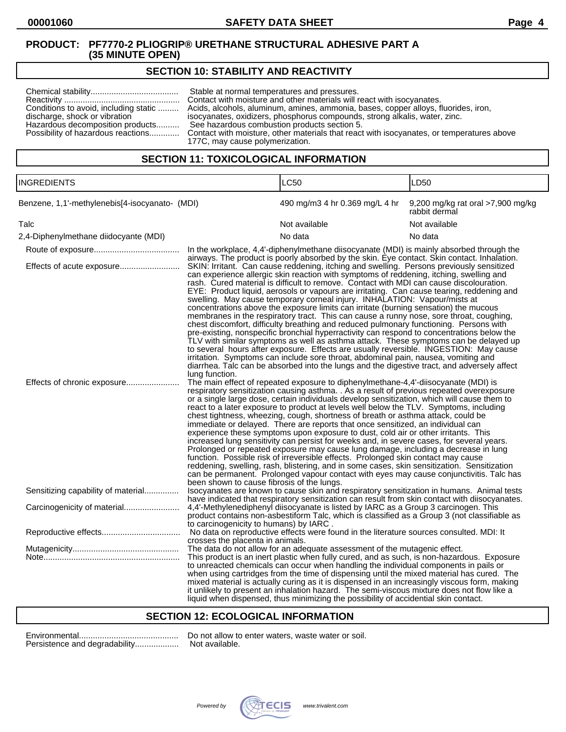# **SECTION 10: STABILITY AND REACTIVITY**

| Conditions to avoid, including static<br>discharge, shock or vibration<br>Hazardous decomposition products | Stable at normal temperatures and pressures.<br>Contact with moisture and other materials will react with isocyanates.<br>Acids, alcohols, aluminum, amines, ammonia, bases, copper alloys, fluorides, iron,<br>isocyanates, oxidizers, phosphorus compounds, strong alkalis, water, zinc.<br>See hazardous combustion products section 5.<br>Possibility of hazardous reactions Contact with moisture, other materials that react with isocyanates, or temperatures above<br>177C, may cause polymerization. |
|------------------------------------------------------------------------------------------------------------|---------------------------------------------------------------------------------------------------------------------------------------------------------------------------------------------------------------------------------------------------------------------------------------------------------------------------------------------------------------------------------------------------------------------------------------------------------------------------------------------------------------|
|------------------------------------------------------------------------------------------------------------|---------------------------------------------------------------------------------------------------------------------------------------------------------------------------------------------------------------------------------------------------------------------------------------------------------------------------------------------------------------------------------------------------------------------------------------------------------------------------------------------------------------|

# **SECTION 11: TOXICOLOGICAL INFORMATION**

| <b>INGREDIENTS</b>                             |                                                                                                                                                                                                                                                                                                                                                                                                                                                                                                                                                                                                                                                                                                                                                                                                                                                                                                                                                                                                                                                                                                                                                                                                           | <b>LC50</b>                                                                                                                                                                                                                                                                                                                                                                                                                                                                                                                                                | LD <sub>50</sub>                                   |  |
|------------------------------------------------|-----------------------------------------------------------------------------------------------------------------------------------------------------------------------------------------------------------------------------------------------------------------------------------------------------------------------------------------------------------------------------------------------------------------------------------------------------------------------------------------------------------------------------------------------------------------------------------------------------------------------------------------------------------------------------------------------------------------------------------------------------------------------------------------------------------------------------------------------------------------------------------------------------------------------------------------------------------------------------------------------------------------------------------------------------------------------------------------------------------------------------------------------------------------------------------------------------------|------------------------------------------------------------------------------------------------------------------------------------------------------------------------------------------------------------------------------------------------------------------------------------------------------------------------------------------------------------------------------------------------------------------------------------------------------------------------------------------------------------------------------------------------------------|----------------------------------------------------|--|
| Benzene, 1,1'-methylenebis[4-isocyanato- (MDI) |                                                                                                                                                                                                                                                                                                                                                                                                                                                                                                                                                                                                                                                                                                                                                                                                                                                                                                                                                                                                                                                                                                                                                                                                           | 490 mg/m3 4 hr 0.369 mg/L 4 hr                                                                                                                                                                                                                                                                                                                                                                                                                                                                                                                             | 9,200 mg/kg rat oral >7,900 mg/kg<br>rabbit dermal |  |
| Talc                                           |                                                                                                                                                                                                                                                                                                                                                                                                                                                                                                                                                                                                                                                                                                                                                                                                                                                                                                                                                                                                                                                                                                                                                                                                           | Not available                                                                                                                                                                                                                                                                                                                                                                                                                                                                                                                                              | Not available                                      |  |
| 2,4-Diphenylmethane diidocyante (MDI)          |                                                                                                                                                                                                                                                                                                                                                                                                                                                                                                                                                                                                                                                                                                                                                                                                                                                                                                                                                                                                                                                                                                                                                                                                           | No data                                                                                                                                                                                                                                                                                                                                                                                                                                                                                                                                                    | No data                                            |  |
|                                                |                                                                                                                                                                                                                                                                                                                                                                                                                                                                                                                                                                                                                                                                                                                                                                                                                                                                                                                                                                                                                                                                                                                                                                                                           | In the workplace, 4,4'-diphenylmethane diisocyanate (MDI) is mainly absorbed through the<br>airways. The product is poorly absorbed by the skin. Eye contact. Skin contact. Inhalation.                                                                                                                                                                                                                                                                                                                                                                    |                                                    |  |
| Effects of acute exposure                      | SKIN: Irritant. Can cause reddening, itching and swelling. Persons previously sensitized<br>can experience allergic skin reaction with symptoms of reddening, itching, swelling and<br>rash. Cured material is difficult to remove. Contact with MDI can cause discolouration.<br>EYE: Product liquid, aerosols or vapours are irritating. Can cause tearing, reddening and<br>swelling. May cause temporary corneal injury. INHALATION: Vapour/mists at<br>concentrations above the exposure limits can irritate (burning sensation) the mucous<br>membranes in the respiratory tract. This can cause a runny nose, sore throat, coughing,<br>chest discomfort, difficulty breathing and reduced pulmonary functioning. Persons with<br>pre-existing, nonspecific bronchial hyperractivity can respond to concentrations below the<br>TLV with similar symptoms as well as asthma attack. These symptoms can be delayed up<br>to several hours after exposure. Effects are usually reversible. INGESTION: May cause<br>irritation. Symptoms can include sore throat, abdominal pain, nausea, vomiting and<br>diarrhea. Talc can be absorbed into the lungs and the digestive tract, and adversely affect |                                                                                                                                                                                                                                                                                                                                                                                                                                                                                                                                                            |                                                    |  |
| Effects of chronic exposure                    | lung function.<br>The main effect of repeated exposure to diphenylmethane-4,4'-diisocyanate (MDI) is<br>respiratory sensitization causing asthma. . As a result of previous repeated overexposure<br>or a single large dose, certain individuals develop sensitization, which will cause them to<br>react to a later exposure to product at levels well below the TLV. Symptoms, including<br>chest tightness, wheezing, cough, shortness of breath or asthma attack, could be<br>immediate or delayed. There are reports that once sensitized, an individual can<br>experience these symptoms upon exposure to dust, cold air or other irritants. This<br>increased lung sensitivity can persist for weeks and, in severe cases, for several years.<br>Prolonged or repeated exposure may cause lung damage, including a decrease in lung<br>function. Possible risk of irreversible effects. Prolonged skin contact may cause<br>reddening, swelling, rash, blistering, and in some cases, skin sensitization. Sensitization<br>can be permanent. Prolonged vapour contact with eyes may cause conjunctivitis. Talc has<br>been shown to cause fibrosis of the lungs.                                   |                                                                                                                                                                                                                                                                                                                                                                                                                                                                                                                                                            |                                                    |  |
| Sensitizing capability of material             |                                                                                                                                                                                                                                                                                                                                                                                                                                                                                                                                                                                                                                                                                                                                                                                                                                                                                                                                                                                                                                                                                                                                                                                                           | Isocyanates are known to cause skin and respiratory sensitization in humans. Animal tests<br>have indicated that respiratory sensitization can result from skin contact with diisocyanates.                                                                                                                                                                                                                                                                                                                                                                |                                                    |  |
| Carcinogenicity of material                    | to carcinogenicity to humans) by IARC.                                                                                                                                                                                                                                                                                                                                                                                                                                                                                                                                                                                                                                                                                                                                                                                                                                                                                                                                                                                                                                                                                                                                                                    | 4,4'-Methylenediphenyl diisocyanate is listed by IARC as a Group 3 carcinogen. This<br>product contains non-asbestiform Talc, which is classified as a Group 3 (not classifiable as                                                                                                                                                                                                                                                                                                                                                                        |                                                    |  |
|                                                | crosses the placenta in animals.                                                                                                                                                                                                                                                                                                                                                                                                                                                                                                                                                                                                                                                                                                                                                                                                                                                                                                                                                                                                                                                                                                                                                                          | No data on reproductive effects were found in the literature sources consulted. MDI: It                                                                                                                                                                                                                                                                                                                                                                                                                                                                    |                                                    |  |
|                                                |                                                                                                                                                                                                                                                                                                                                                                                                                                                                                                                                                                                                                                                                                                                                                                                                                                                                                                                                                                                                                                                                                                                                                                                                           | The data do not allow for an adequate assessment of the mutagenic effect.<br>This product is an inert plastic when fully cured, and as such, is non-hazardous. Exposure<br>to unreacted chemicals can occur when handling the individual components in pails or<br>when using cartridges from the time of dispensing until the mixed material has cured. The<br>mixed material is actually curing as it is dispensed in an increasingly viscous form, making<br>it unlikely to present an inhalation hazard. The semi-viscous mixture does not flow like a |                                                    |  |

#### **SECTION 12: ECOLOGICAL INFORMATION**

| Persistence and degradability |
|-------------------------------|

Environmental........................................... Do not allow to enter waters, waste water or soil. ..... Not available.



liquid when dispensed, thus minimizing the possibility of accidential skin contact.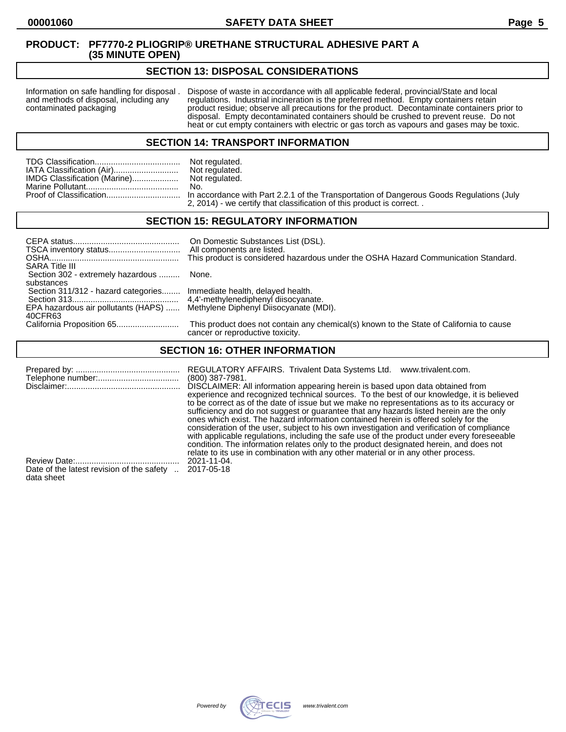## **SECTION 13: DISPOSAL CONSIDERATIONS**

Information on safe handling for disposal . Dispose of waste in accordance with all applicable federal, provincial/State and local and methods of disposal, including any regulations. Industrial incineration is the preferre and methods of disposal, including any regulations. Industrial incineration is the preferred method. Empty containers retain<br>contaminated packaging product residue; observe all precautions for the product. Decontaminate co product residue; observe all precautions for the product. Decontaminate containers prior to disposal. Empty decontaminated containers should be crushed to prevent reuse. Do not heat or cut empty containers with electric or gas torch as vapours and gases may be toxic.

#### **SECTION 14: TRANSPORT INFORMATION**

|                              | Not regulated. |
|------------------------------|----------------|
| IATA Classification (Air)    | Not regulated. |
| IMDG Classification (Marine) | Not regulated. |
|                              | No.            |
|                              |                |

Not regulated. Not regulated.<br>No. n accordance with Part 2.2.1 of the Transportation of Dangerous Goods Regulations (July 2, 2014) - we certify that classification of this product is correct. .

**SECTION 15: REGULATORY INFORMATION**

| <b>SARA Title III</b>                                                                                                                                | On Domestic Substances List (DSL).<br>All components are listed.<br>This product is considered hazardous under the OSHA Hazard Communication Standard. |
|------------------------------------------------------------------------------------------------------------------------------------------------------|--------------------------------------------------------------------------------------------------------------------------------------------------------|
| Section 302 - extremely hazardous  None.<br>substances                                                                                               |                                                                                                                                                        |
| Section 311/312 - hazard categories Immediate health, delayed health.<br>EPA hazardous air pollutants (HAPS)  Methylene Diphenyl Diisocyanate (MDI). |                                                                                                                                                        |
| 40CFR63                                                                                                                                              | This product does not contain any chemical(s) known to the State of California to cause<br>cancer or reproductive toxicity.                            |

# **SECTION 16: OTHER INFORMATION**

|                                                         | REGULATORY AFFAIRS. Trivalent Data Systems Ltd.<br>www.trivalent.com.<br>$(800)$ 387-7981.<br>DISCLAIMER: All information appearing herein is based upon data obtained from<br>experience and recognized technical sources. To the best of our knowledge, it is believed<br>to be correct as of the date of issue but we make no representations as to its accuracy or<br>sufficiency and do not suggest or guarantee that any hazards listed herein are the only<br>ones which exist. The hazard information contained herein is offered solely for the<br>consideration of the user, subject to his own investigation and verification of compliance<br>with applicable regulations, including the safe use of the product under every foreseeable<br>condition. The information relates only to the product designated herein, and does not<br>relate to its use in combination with any other material or in any other process. |
|---------------------------------------------------------|-------------------------------------------------------------------------------------------------------------------------------------------------------------------------------------------------------------------------------------------------------------------------------------------------------------------------------------------------------------------------------------------------------------------------------------------------------------------------------------------------------------------------------------------------------------------------------------------------------------------------------------------------------------------------------------------------------------------------------------------------------------------------------------------------------------------------------------------------------------------------------------------------------------------------------------|
| Date of the latest revision of the safety<br>data sheet | 2021-11-04.<br>2017-05-18                                                                                                                                                                                                                                                                                                                                                                                                                                                                                                                                                                                                                                                                                                                                                                                                                                                                                                           |

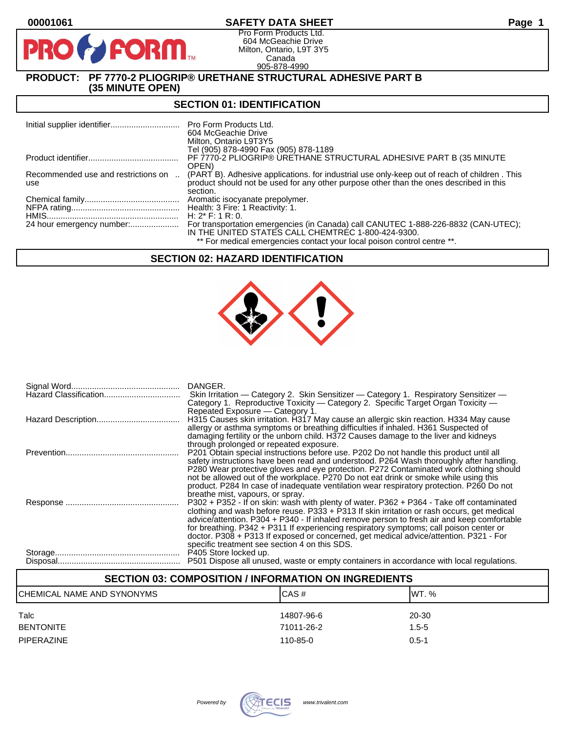**PIR** 

# **00001061 SAFETY DATA SHEET Page 1**

Pro Form Products Ltd. 604 McGeachie Drive Milton, Ontario, L9T 3Y5 Canada 905-878-4990

# **PRODUCT: PF 7770-2 PLIOGRIP® URETHANE STRUCTURAL ADHESIVE PART B (35 MINUTE OPEN)**

**PORM** 

### **SECTION 01: IDENTIFICATION**

|                                            | Pro Form Products Ltd.<br>604 McGeachie Drive<br>Milton, Ontario L9T3Y5                                                                                                                |
|--------------------------------------------|----------------------------------------------------------------------------------------------------------------------------------------------------------------------------------------|
|                                            | Tel (905) 878-4990 Fax (905) 878-1189                                                                                                                                                  |
|                                            | PF 7770-2 PLIOGRIP® URETHANE STRUCTURAL ADHESIVE PART B (35 MINUTE                                                                                                                     |
|                                            | OPEN)                                                                                                                                                                                  |
| Recommended use and restrictions on<br>use | (PART B). Adhesive applications, for industrial use only-keep out of reach of children. This<br>product should not be used for any other purpose other than the ones described in this |
|                                            | section.                                                                                                                                                                               |
|                                            | Aromatic isocyanate prepolymer.                                                                                                                                                        |
|                                            |                                                                                                                                                                                        |
|                                            | H: $2^*$ F: 1 R: 0.                                                                                                                                                                    |
|                                            | For transportation emergencies (in Canada) call CANUTEC 1-888-226-8832 (CAN-UTEC);<br>IN THE UNITED STATES CALL CHEMTREC 1-800-424-9300.                                               |
|                                            | ** For medical emergencies contact your local poison control centre **.                                                                                                                |

### **SECTION 02: HAZARD IDENTIFICATION**



| DANGER.                                                                                                                           |
|-----------------------------------------------------------------------------------------------------------------------------------|
| Skin Irritation — Category 2. Skin Sensitizer — Category 1. Respiratory Sensitizer —                                              |
| Category 1. Reproductive Toxicity — Category 2. Specific Target Organ Toxicity —                                                  |
| Repeated Exposure – Category 1.                                                                                                   |
| H315 Causes skin irritation. H317 May cause an allergic skin reaction. H334 May cause                                             |
| allergy or asthma symptoms or breathing difficulties if inhaled. H361 Suspected of                                                |
| damaging fertility or the unborn child. H372 Causes damage to the liver and kidneys                                               |
| through prolonged or repeated exposure.<br>P201 Obtain special instructions before use. P202 Do not handle this product until all |
| safety instructions have been read and understood. P264 Wash thoroughly after handling.                                           |
| P280 Wear protective gloves and eye protection. P272 Contaminated work clothing should                                            |
| not be allowed out of the workplace. P270 Do not eat drink or smoke while using this                                              |
| product. P284 In case of inadequate ventilation wear respiratory protection. P260 Do not                                          |
| breathe mist, vapours, or spray.                                                                                                  |
| P302 + P352 - If on skin: wash with plenty of water. P362 + P364 - Take off contaminated                                          |
| clothing and wash before reuse. P333 + P313 If skin irritation or rash occurs, get medical                                        |
| advice/attention. P304 + P340 - If inhaled remove person to fresh air and keep comfortable                                        |
| for breathing. P342 + P311 If experiencing respiratory symptoms; call poison center or                                            |
| doctor. P308 + P313 If exposed or concerned, get medical advice/attention. P321 - For                                             |
| specific treatment see section 4 on this SDS.                                                                                     |
| P405 Store locked up.<br>P501 Dispose all unused, waste or empty containers in accordance with local regulations.                 |
|                                                                                                                                   |

| <b>SECTION 03: COMPOSITION / INFORMATION ON INGREDIENTS</b> |            |           |  |
|-------------------------------------------------------------|------------|-----------|--|
| CHEMICAL NAME AND SYNONYMS                                  | ICAS#      | IWT. %    |  |
| Talc                                                        | 14807-96-6 | 20-30     |  |
| <b>BENTONITE</b>                                            | 71011-26-2 | $1.5 - 5$ |  |
| <b>PIPERAZINE</b>                                           | 110-85-0   | $0.5 - 1$ |  |

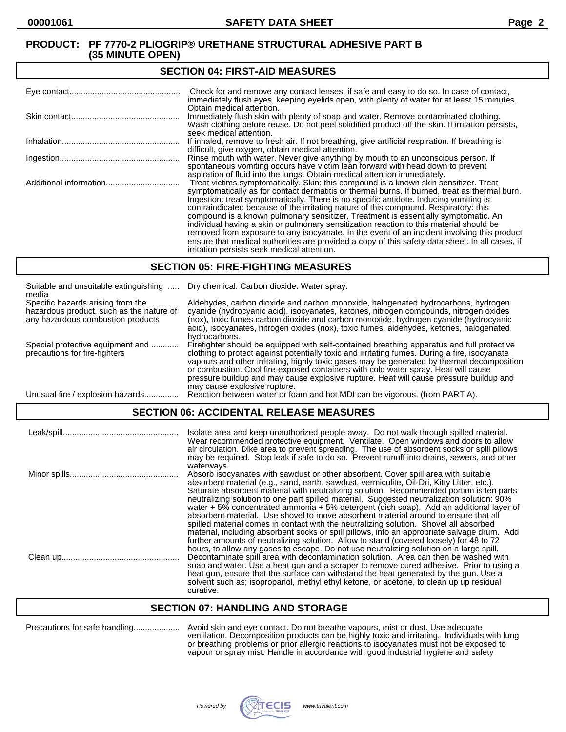#### **SECTION 04: FIRST-AID MEASURES**

| Check for and remove any contact lenses, if safe and easy to do so. In case of contact,<br>immediately flush eyes, keeping eyelids open, with plenty of water for at least 15 minutes.                                                                                                                                                                                                                                                                                                                                                                                                                                                                                                                                                                                                                   |
|----------------------------------------------------------------------------------------------------------------------------------------------------------------------------------------------------------------------------------------------------------------------------------------------------------------------------------------------------------------------------------------------------------------------------------------------------------------------------------------------------------------------------------------------------------------------------------------------------------------------------------------------------------------------------------------------------------------------------------------------------------------------------------------------------------|
| Obtain medical attention.<br>Immediately flush skin with plenty of soap and water. Remove contaminated clothing.<br>Wash clothing before reuse. Do not peel solidified product off the skin. If irritation persists,<br>seek medical attention.                                                                                                                                                                                                                                                                                                                                                                                                                                                                                                                                                          |
| If inhaled, remove to fresh air. If not breathing, give artificial respiration. If breathing is<br>difficult, give oxygen, obtain medical attention.                                                                                                                                                                                                                                                                                                                                                                                                                                                                                                                                                                                                                                                     |
| Rinse mouth with water. Never give anything by mouth to an unconscious person. If<br>spontaneous vomiting occurs have victim lean forward with head down to prevent<br>aspiration of fluid into the lungs. Obtain medical attention immediately.                                                                                                                                                                                                                                                                                                                                                                                                                                                                                                                                                         |
| Treat victims symptomatically. Skin: this compound is a known skin sensitizer. Treat<br>symptomatically as for contact dermatitis or thermal burns. If burned, treat as thermal burn.<br>Ingestion: treat symptomatically. There is no specific antidote. Inducing vomiting is<br>contraindicated because of the irritating nature of this compound. Respiratory: this<br>compound is a known pulmonary sensitizer. Treatment is essentially symptomatic. An<br>individual having a skin or pulmonary sensitization reaction to this material should be<br>removed from exposure to any isocyanate. In the event of an incident involving this product<br>ensure that medical authorities are provided a copy of this safety data sheet. In all cases, if<br>irritation persists seek medical attention. |

#### **SECTION 05: FIRE-FIGHTING MEASURES**

| Suitable and unsuitable extinguishing<br>media                                                                     | Dry chemical. Carbon dioxide. Water spray.                                                                                                                                                                                                                                                                                                                                                                                                                                                                |
|--------------------------------------------------------------------------------------------------------------------|-----------------------------------------------------------------------------------------------------------------------------------------------------------------------------------------------------------------------------------------------------------------------------------------------------------------------------------------------------------------------------------------------------------------------------------------------------------------------------------------------------------|
| Specific hazards arising from the<br>hazardous product, such as the nature of<br>any hazardous combustion products | Aldehydes, carbon dioxide and carbon monoxide, halogenated hydrocarbons, hydrogen<br>cyanide (hydrocyanic acid), isocyanates, ketones, nitrogen compounds, nitrogen oxides<br>(nox), toxic fumes carbon dioxide and carbon monoxide, hydrogen cyanide (hydrocyanic<br>acid), isocyanates, nitrogen oxides (nox), toxic fumes, aldehydes, ketones, halogenated<br>hydrocarbons.                                                                                                                            |
| Special protective equipment and<br>precautions for fire-fighters                                                  | Firefighter should be equipped with self-contained breathing apparatus and full protective<br>clothing to protect against potentially toxic and irritating fumes. During a fire, isocyanate<br>vapours and other irritating, highly toxic gases may be generated by thermal decomposition<br>or combustion. Cool fire-exposed containers with cold water spray. Heat will cause<br>pressure buildup and may cause explosive rupture. Heat will cause pressure buildup and<br>may cause explosive rupture. |
| Unusual fire / explosion hazards                                                                                   | Reaction between water or foam and hot MDI can be vigorous. (from PART A).                                                                                                                                                                                                                                                                                                                                                                                                                                |

# **SECTION 06: ACCIDENTAL RELEASE MEASURES**

| Isolate area and keep unauthorized people away. Do not walk through spilled material.<br>Wear recommended protective equipment. Ventilate. Open windows and doors to allow<br>air circulation. Dike area to prevent spreading. The use of absorbent socks or spill pillows<br>may be required. Stop leak if safe to do so. Prevent runoff into drains, sewers, and other                                                                                                                                                                                                                                                                                                                                                                                                                                                                                         |
|------------------------------------------------------------------------------------------------------------------------------------------------------------------------------------------------------------------------------------------------------------------------------------------------------------------------------------------------------------------------------------------------------------------------------------------------------------------------------------------------------------------------------------------------------------------------------------------------------------------------------------------------------------------------------------------------------------------------------------------------------------------------------------------------------------------------------------------------------------------|
| waterways.<br>Absorb isocyanates with sawdust or other absorbent. Cover spill area with suitable<br>absorbent material (e.g., sand, earth, sawdust, vermiculite, Oil-Dri, Kitty Litter, etc.).<br>Saturate absorbent material with neutralizing solution. Recommended portion is ten parts<br>neutralizing solution to one part spilled material. Suggested neutralization solution: 90%<br>water $+5\%$ concentrated ammonia $+5\%$ detergent (dish soap). Add an additional layer of<br>absorbent material. Use shovel to move absorbent material around to ensure that all<br>spilled material comes in contact with the neutralizing solution. Shovel all absorbed<br>material, including absorbent socks or spill pillows, into an appropriate salvage drum. Add<br>further amounts of neutralizing solution. Allow to stand (covered loosely) for 48 to 72 |
| hours, to allow any gases to escape. Do not use neutralizing solution on a large spill.<br>Decontaminate spill area with decontamination solution. Area can then be washed with<br>soap and water. Use a heat gun and a scraper to remove cured adhesive. Prior to using a<br>heat gun, ensure that the surface can withstand the heat generated by the gun. Use a<br>solvent such as: isopropanol, methyl ethyl ketone, or acetone, to clean up up residual<br>curative.                                                                                                                                                                                                                                                                                                                                                                                        |

# **SECTION 07: HANDLING AND STORAGE**

|  | Precautions for safe handling |  |
|--|-------------------------------|--|
|--|-------------------------------|--|

Precautions for safe handling.................... Avoid skin and eye contact. Do not breathe vapours, mist or dust. Use adequate ventilation. Decomposition products can be highly toxic and irritating. Individuals with lung or breathing problems or prior allergic reactions to isocyanates must not be exposed to vapour or spray mist. Handle in accordance with good industrial hygiene and safety

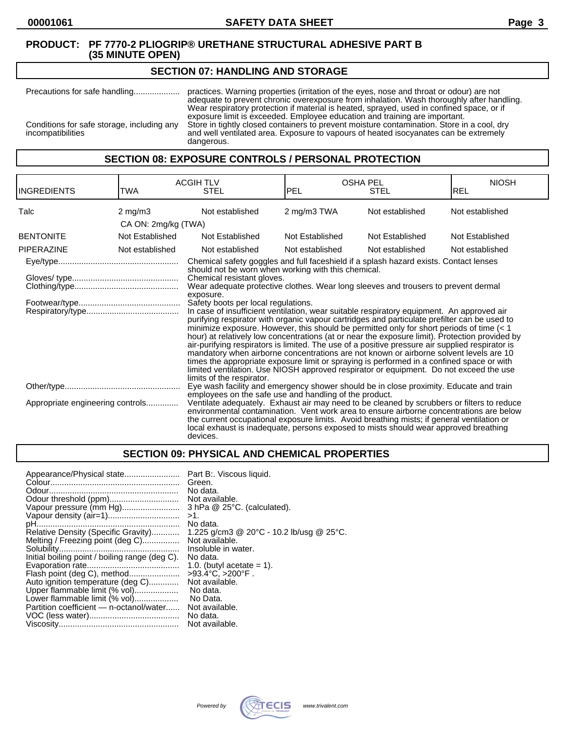#### **SECTION 07: HANDLING AND STORAGE**

Precautions for safe handling.................... practices. Warning properties (irritation of the eyes, nose and throat or odour) are not adequate to prevent chronic overexposure from inhalation. Wash thoroughly after handling. Wear respiratory protection if material is heated, sprayed, used in confined space, or if exposure limit is exceeded. Employee education and training are important. Conditions for safe storage, including any Store in tightly closed containers to prevent moisture contamination. Store in a cool, dry incompatibilities and well ventilated area. Exposure to vapours of heated isocyanates can be extremely dangerous.

# **SECTION 08: EXPOSURE CONTROLS / PERSONAL PROTECTION**

| <b>INGREDIENTS</b>               | TWA                 | <b>ACGIH TLV</b><br><b>STEL</b>                                                                                                                                                                                                                                                                                                                                                                                                                                                                                                                                                                                                                                                                                                                                                                                                                                                                                                                                                                                                                                                                                                          | <b>OSHA PEL</b><br>PEL | STEL            | <b>NIOSH</b><br><b>REL</b> |
|----------------------------------|---------------------|------------------------------------------------------------------------------------------------------------------------------------------------------------------------------------------------------------------------------------------------------------------------------------------------------------------------------------------------------------------------------------------------------------------------------------------------------------------------------------------------------------------------------------------------------------------------------------------------------------------------------------------------------------------------------------------------------------------------------------------------------------------------------------------------------------------------------------------------------------------------------------------------------------------------------------------------------------------------------------------------------------------------------------------------------------------------------------------------------------------------------------------|------------------------|-----------------|----------------------------|
| Talc                             | $2 \text{ mg/m}$    | Not established                                                                                                                                                                                                                                                                                                                                                                                                                                                                                                                                                                                                                                                                                                                                                                                                                                                                                                                                                                                                                                                                                                                          | 2 mg/m3 TWA            | Not established | Not established            |
|                                  | CA ON: 2mg/kg (TWA) |                                                                                                                                                                                                                                                                                                                                                                                                                                                                                                                                                                                                                                                                                                                                                                                                                                                                                                                                                                                                                                                                                                                                          |                        |                 |                            |
| <b>BENTONITE</b>                 | Not Established     | Not Established                                                                                                                                                                                                                                                                                                                                                                                                                                                                                                                                                                                                                                                                                                                                                                                                                                                                                                                                                                                                                                                                                                                          | Not Established        | Not Established | Not Established            |
| <b>PIPERAZINE</b>                | Not established     | Not established                                                                                                                                                                                                                                                                                                                                                                                                                                                                                                                                                                                                                                                                                                                                                                                                                                                                                                                                                                                                                                                                                                                          | Not established        | Not established | Not established            |
|                                  |                     | Chemical safety goggles and full faceshield if a splash hazard exists. Contact lenses<br>should not be worn when working with this chemical.<br>Chemical resistant gloves.<br>Wear adequate protective clothes. Wear long sleeves and trousers to prevent dermal<br>exposure.<br>Safety boots per local regulations.<br>In case of insufficient ventilation, wear suitable respiratory equipment. An approved air<br>purifying respirator with organic vapour cartridges and particulate prefilter can be used to<br>minimize exposure. However, this should be permitted only for short periods of time $\left($ < 1<br>hour) at relatively low concentrations (at or near the exposure limit). Protection provided by<br>air-purifying respirators is limited. The use of a positive pressure air supplied respirator is<br>mandatory when airborne concentrations are not known or airborne solvent levels are 10<br>times the appropriate exposure limit or spraying is performed in a confined space or with<br>limited ventilation. Use NIOSH approved respirator or equipment. Do not exceed the use<br>limits of the respirator. |                        |                 |                            |
| Appropriate engineering controls |                     | Eye wash facility and emergency shower should be in close proximity. Educate and train<br>employees on the safe use and handling of the product.<br>Ventilate adequately. Exhaust air may need to be cleaned by scrubbers or filters to reduce<br>environmental contamination. Vent work area to ensure airborne concentrations are below                                                                                                                                                                                                                                                                                                                                                                                                                                                                                                                                                                                                                                                                                                                                                                                                |                        |                 |                            |
|                                  |                     | the current occupational exposure limits. Avoid breathing mists; if general ventilation or<br>local exhaust is inadequate, persons exposed to mists should wear approved breathing<br>devices.                                                                                                                                                                                                                                                                                                                                                                                                                                                                                                                                                                                                                                                                                                                                                                                                                                                                                                                                           |                        |                 |                            |

#### **SECTION 09: PHYSICAL AND CHEMICAL PROPERTIES**

| Appearance/Physical state<br>Vapour pressure (mm Hg)<br>Relative Density (Specific Gravity)<br>Melting / Freezing point (deg C)<br>Initial boiling point / boiling range (deg C).<br>Flash point (deg C), method<br>Auto ignition temperature (deg C)<br>Upper flammable limit (% vol)<br>Lower flammable limit (% vol)<br>Partition coefficient — n-octanol/water | Part B:. Viscous liquid.<br>Green.<br>No data.<br>Not available.<br>$3$ hPa $@$ 25 $°C$ . (calculated).<br>>1.<br>No data.<br>1.225 g/cm3 @ 20 $^{\circ}$ C - 10.2 lb/usg @ 25 $^{\circ}$ C.<br>Not available.<br>Insoluble in water.<br>No data.<br>1.0. (butyl acetate $= 1$ ).<br>$>93.4^{\circ}$ C. $>200^{\circ}$ F.<br>Not available.<br>No data.<br>No Data.<br>Not available. |
|--------------------------------------------------------------------------------------------------------------------------------------------------------------------------------------------------------------------------------------------------------------------------------------------------------------------------------------------------------------------|---------------------------------------------------------------------------------------------------------------------------------------------------------------------------------------------------------------------------------------------------------------------------------------------------------------------------------------------------------------------------------------|
|                                                                                                                                                                                                                                                                                                                                                                    | No data.                                                                                                                                                                                                                                                                                                                                                                              |
|                                                                                                                                                                                                                                                                                                                                                                    | Not available.                                                                                                                                                                                                                                                                                                                                                                        |

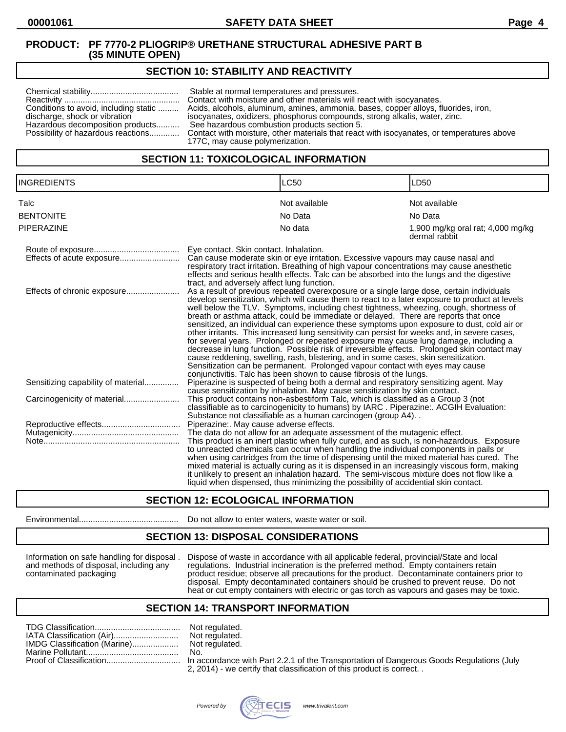# **SECTION 10: STABILITY AND REACTIVITY**

# **SECTION 11: TOXICOLOGICAL INFORMATION**

| <b>INGREDIENTS</b>                 |                                                                                                                                                                                                                                                                                                                                                                     | <b>LC50</b>                                                                                                                                                                                                                                                                                                                                                                                                                                                                                                                                                                                                                                                                                                                                                                                                                                                                                                                                                                                                      | LD50                                               |
|------------------------------------|---------------------------------------------------------------------------------------------------------------------------------------------------------------------------------------------------------------------------------------------------------------------------------------------------------------------------------------------------------------------|------------------------------------------------------------------------------------------------------------------------------------------------------------------------------------------------------------------------------------------------------------------------------------------------------------------------------------------------------------------------------------------------------------------------------------------------------------------------------------------------------------------------------------------------------------------------------------------------------------------------------------------------------------------------------------------------------------------------------------------------------------------------------------------------------------------------------------------------------------------------------------------------------------------------------------------------------------------------------------------------------------------|----------------------------------------------------|
| Talc                               |                                                                                                                                                                                                                                                                                                                                                                     | Not available                                                                                                                                                                                                                                                                                                                                                                                                                                                                                                                                                                                                                                                                                                                                                                                                                                                                                                                                                                                                    | Not available                                      |
| <b>BENTONITE</b>                   |                                                                                                                                                                                                                                                                                                                                                                     | No Data                                                                                                                                                                                                                                                                                                                                                                                                                                                                                                                                                                                                                                                                                                                                                                                                                                                                                                                                                                                                          | No Data                                            |
| <b>PIPERAZINE</b>                  |                                                                                                                                                                                                                                                                                                                                                                     | No data                                                                                                                                                                                                                                                                                                                                                                                                                                                                                                                                                                                                                                                                                                                                                                                                                                                                                                                                                                                                          | 1,900 mg/kg oral rat; 4,000 mg/kg<br>dermal rabbit |
|                                    | Eye contact. Skin contact. Inhalation.<br>Can cause moderate skin or eye irritation. Excessive vapours may cause nasal and<br>respiratory tract irritation. Breathing of high vapour concentrations may cause anesthetic<br>effects and serious health effects. Talc can be absorbed into the lungs and the digestive<br>tract, and adversely affect lung function. |                                                                                                                                                                                                                                                                                                                                                                                                                                                                                                                                                                                                                                                                                                                                                                                                                                                                                                                                                                                                                  |                                                    |
| Effects of chronic exposure        |                                                                                                                                                                                                                                                                                                                                                                     | As a result of previous repeated overexposure or a single large dose, certain individuals<br>develop sensitization, which will cause them to react to a later exposure to product at levels<br>well below the TLV. Symptoms, including chest tightness, wheezing, cough, shortness of<br>breath or asthma attack, could be immediate or delayed. There are reports that once<br>sensitized, an individual can experience these symptoms upon exposure to dust, cold air or<br>other irritants. This increased lung sensitivity can persist for weeks and, in severe cases,<br>for several years. Prolonged or repeated exposure may cause lung damage, including a<br>decrease in lung function. Possible risk of irreversible effects. Prolonged skin contact may<br>cause reddening, swelling, rash, blistering, and in some cases, skin sensitization.<br>Sensitization can be permanent. Prolonged vapour contact with eyes may cause<br>conjunctivitis. Talc has been shown to cause fibrosis of the lungs. |                                                    |
| Sensitizing capability of material |                                                                                                                                                                                                                                                                                                                                                                     | Piperazine is suspected of being both a dermal and respiratory sensitizing agent. May<br>cause sensitization by inhalation. May cause sensitization by skin contact.                                                                                                                                                                                                                                                                                                                                                                                                                                                                                                                                                                                                                                                                                                                                                                                                                                             |                                                    |
|                                    |                                                                                                                                                                                                                                                                                                                                                                     | This product contains non-asbestiform Talc, which is classified as a Group 3 (not<br>classifiable as to carcinogenicity to humans) by IARC. Piperazine:. ACGIH Evaluation:<br>Substance not classifiable as a human carcinogen (group A4)                                                                                                                                                                                                                                                                                                                                                                                                                                                                                                                                                                                                                                                                                                                                                                        |                                                    |
|                                    | Piperazine:. May cause adverse effects.                                                                                                                                                                                                                                                                                                                             |                                                                                                                                                                                                                                                                                                                                                                                                                                                                                                                                                                                                                                                                                                                                                                                                                                                                                                                                                                                                                  |                                                    |
|                                    |                                                                                                                                                                                                                                                                                                                                                                     | The data do not allow for an adequate assessment of the mutagenic effect.<br>This product is an inert plastic when fully cured, and as such, is non-hazardous. Exposure<br>to unreacted chemicals can occur when handling the individual components in pails or<br>when using cartridges from the time of dispensing until the mixed material has cured. The<br>mixed material is actually curing as it is dispensed in an increasingly viscous form, making<br>it unlikely to present an inhalation hazard. The semi-viscous mixture does not flow like a<br>liquid when dispensed, thus minimizing the possibility of accidential skin contact.                                                                                                                                                                                                                                                                                                                                                                |                                                    |

# **SECTION 12: ECOLOGICAL INFORMATION**

Environmental........................................... Do not allow to enter waters, waste water or soil.

#### **SECTION 13: DISPOSAL CONSIDERATIONS**

Information on safe handling for disposal . Dispose of waste in accordance with all applicable federal, provincial/State and local and methods of disposal, including any regulations. Industrial incineration is the preferred method. Empty containers retain contaminated packaging product residue; observe all precautions for the product. Decontaminate containers prior to disposal. Empty decontaminated containers should be crushed to prevent reuse. Do not heat or cut empty containers with electric or gas torch as vapours and gases may be toxic.

#### **SECTION 14: TRANSPORT INFORMATION**

| Not |
|-----|
| Not |
|     |
| No. |
|     |

Not regulated. Not regulated. Not regulated.<br>No.

In accordance with Part 2.2.1 of the Transportation of Dangerous Goods Regulations (July 2, 2014) - we certify that classification of this product is correct. .